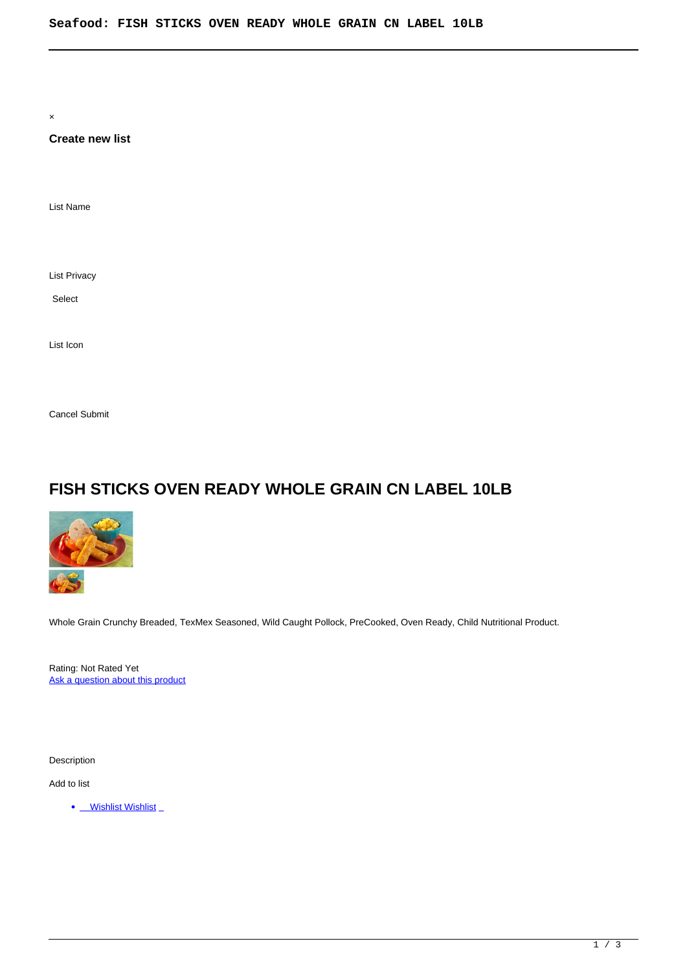×

# **Create new list**

List Name

List Privacy

Select

List Icon

Cancel Submit

# **FISH STICKS OVEN READY WHOLE GRAIN CN LABEL 10LB**



Whole Grain Crunchy Breaded, TexMex Seasoned, Wild Caught Pollock, PreCooked, Oven Ready, Child Nutritional Product.

Rating: Not Rated Yet [Ask a question about this product](https://summitenterprises.net/index.php?option=com_virtuemart&view=productdetails&task=askquestion&virtuemart_product_id=558&virtuemart_category_id=120&tmpl=component)

Description

Add to list

• Wishlist Wishlist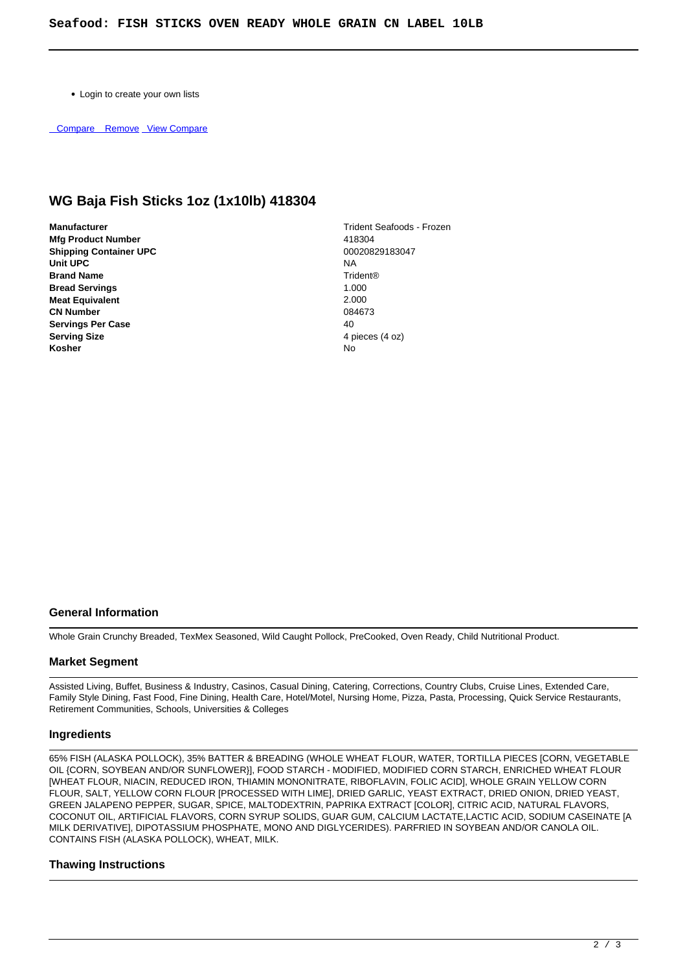Login to create your own lists

Compare Remove [View Compare](/component/vm2wishlists/compare)

# **WG Baja Fish Sticks 1oz (1x10lb) 418304**

- **Manufacturer** Trident Seafoods Frozen **Mfg Product Number** 418304<br> **Shipping Container UPC** 418304 **Shipping Container UPC Unit UPC** NA **Brand Name** Trident® **Bread Servings 1.000 1.000 1.000 1.000 1.000 1.000 1.000 1.000 1.000 1.000 1.000 1.000 1.000 1.000 1.000 1.000 Meat Equivalent** 2.000<br> **CN Number** 2.000<br> **CN Number CN Number Servings Per Case** 40 **Serving Size** 4 pieces (4 oz)<br> **Kosher** 4 **pieces** (4 oz) **Kosher** No
	-

#### **General Information**

Whole Grain Crunchy Breaded, TexMex Seasoned, Wild Caught Pollock, PreCooked, Oven Ready, Child Nutritional Product.

# **Market Segment**

Assisted Living, Buffet, Business & Industry, Casinos, Casual Dining, Catering, Corrections, Country Clubs, Cruise Lines, Extended Care, Family Style Dining, Fast Food, Fine Dining, Health Care, Hotel/Motel, Nursing Home, Pizza, Pasta, Processing, Quick Service Restaurants, Retirement Communities, Schools, Universities & Colleges

#### **Ingredients**

65% FISH (ALASKA POLLOCK), 35% BATTER & BREADING (WHOLE WHEAT FLOUR, WATER, TORTILLA PIECES [CORN, VEGETABLE OIL {CORN, SOYBEAN AND/OR SUNFLOWER}], FOOD STARCH - MODIFIED, MODIFIED CORN STARCH, ENRICHED WHEAT FLOUR [WHEAT FLOUR, NIACIN, REDUCED IRON, THIAMIN MONONITRATE, RIBOFLAVIN, FOLIC ACID], WHOLE GRAIN YELLOW CORN FLOUR, SALT, YELLOW CORN FLOUR [PROCESSED WITH LIME], DRIED GARLIC, YEAST EXTRACT, DRIED ONION, DRIED YEAST, GREEN JALAPENO PEPPER, SUGAR, SPICE, MALTODEXTRIN, PAPRIKA EXTRACT [COLOR], CITRIC ACID, NATURAL FLAVORS, COCONUT OIL, ARTIFICIAL FLAVORS, CORN SYRUP SOLIDS, GUAR GUM, CALCIUM LACTATE,LACTIC ACID, SODIUM CASEINATE [A MILK DERIVATIVE], DIPOTASSIUM PHOSPHATE, MONO AND DIGLYCERIDES). PARFRIED IN SOYBEAN AND/OR CANOLA OIL. CONTAINS FISH (ALASKA POLLOCK), WHEAT, MILK.

# **Thawing Instructions**